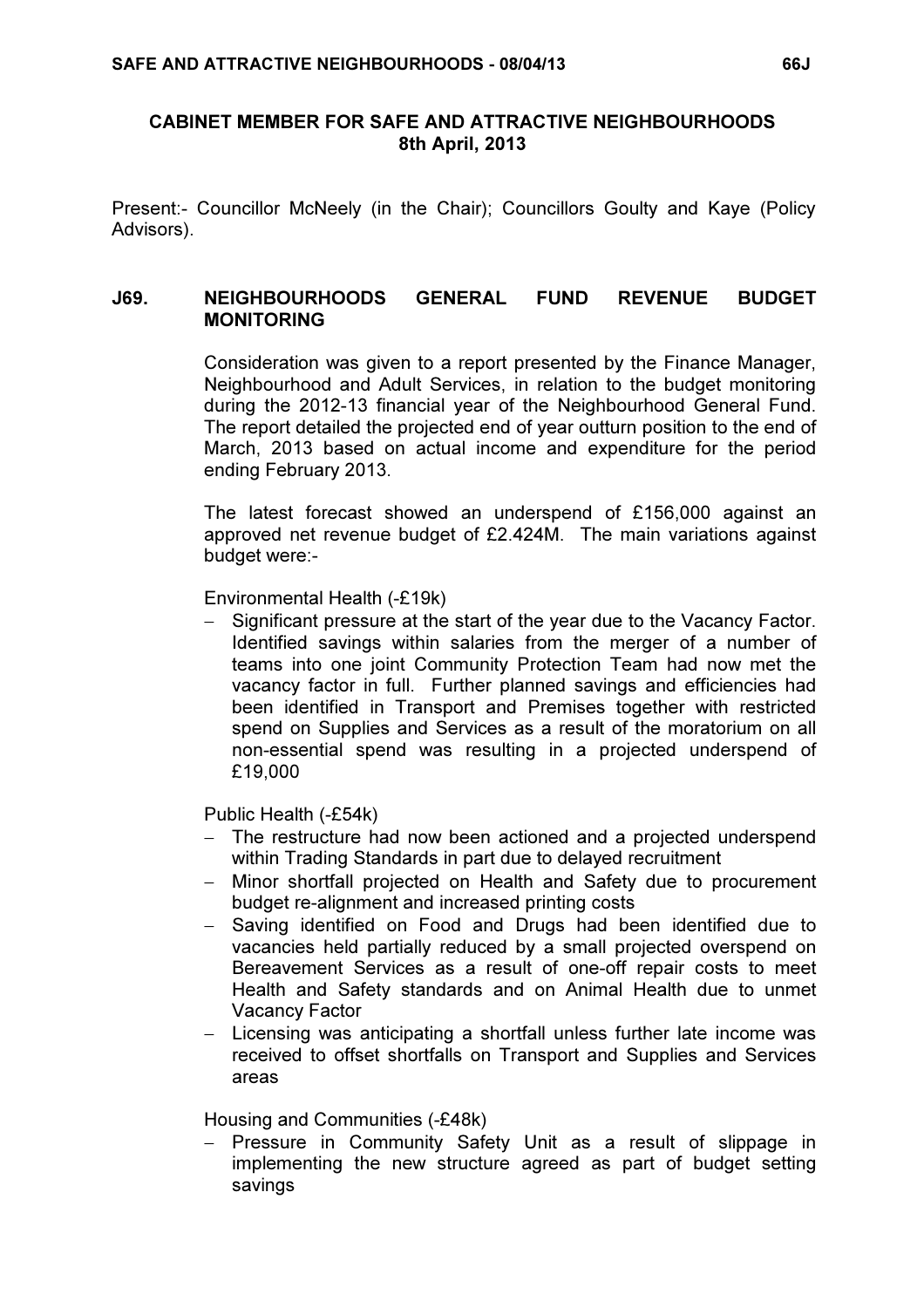# CABINET MEMBER FOR SAFE AND ATTRACTIVE NEIGHBOURHOODS 8th April, 2013

Present:- Councillor McNeely (in the Chair); Councillors Goulty and Kaye (Policy Advisors).

### J69. NEIGHBOURHOODS GENERAL FUND REVENUE BUDGET **MONITORING**

 Consideration was given to a report presented by the Finance Manager, Neighbourhood and Adult Services, in relation to the budget monitoring during the 2012-13 financial year of the Neighbourhood General Fund. The report detailed the projected end of year outturn position to the end of March, 2013 based on actual income and expenditure for the period ending February 2013.

The latest forecast showed an underspend of £156,000 against an approved net revenue budget of £2.424M. The main variations against budget were:-

Environmental Health (-£19k)

− Significant pressure at the start of the year due to the Vacancy Factor. Identified savings within salaries from the merger of a number of teams into one joint Community Protection Team had now met the vacancy factor in full. Further planned savings and efficiencies had been identified in Transport and Premises together with restricted spend on Supplies and Services as a result of the moratorium on all non-essential spend was resulting in a projected underspend of £19,000

Public Health (-£54k)

- The restructure had now been actioned and a projected underspend within Trading Standards in part due to delayed recruitment
- − Minor shortfall projected on Health and Safety due to procurement budget re-alignment and increased printing costs
- − Saving identified on Food and Drugs had been identified due to vacancies held partially reduced by a small projected overspend on Bereavement Services as a result of one-off repair costs to meet Health and Safety standards and on Animal Health due to unmet Vacancy Factor
- − Licensing was anticipating a shortfall unless further late income was received to offset shortfalls on Transport and Supplies and Services areas

Housing and Communities (-£48k)

− Pressure in Community Safety Unit as a result of slippage in implementing the new structure agreed as part of budget setting savings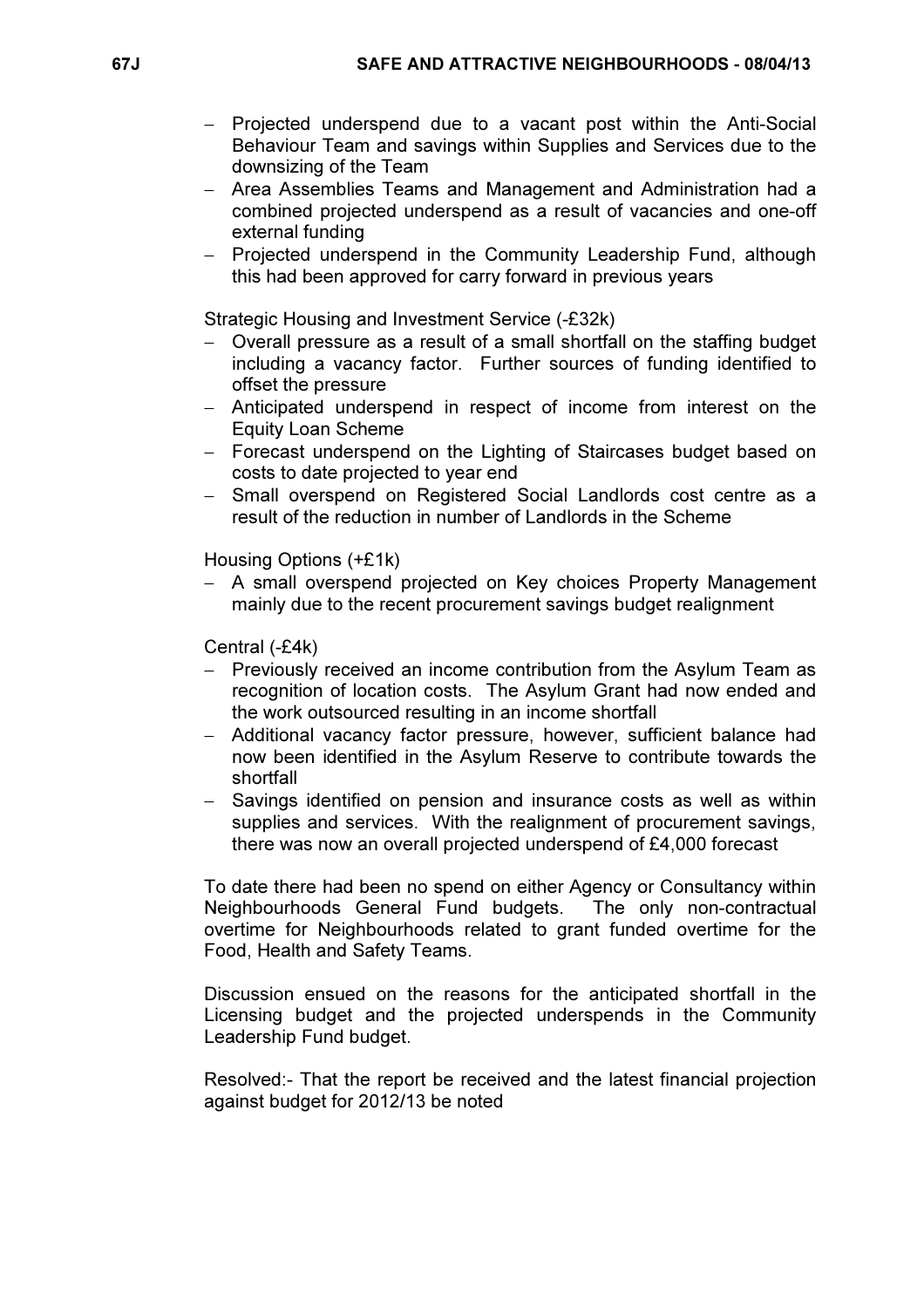- − Projected underspend due to a vacant post within the Anti-Social Behaviour Team and savings within Supplies and Services due to the downsizing of the Team
- − Area Assemblies Teams and Management and Administration had a combined projected underspend as a result of vacancies and one-off external funding
- − Projected underspend in the Community Leadership Fund, although this had been approved for carry forward in previous years

Strategic Housing and Investment Service (-£32k)

- − Overall pressure as a result of a small shortfall on the staffing budget including a vacancy factor. Further sources of funding identified to offset the pressure
- − Anticipated underspend in respect of income from interest on the Equity Loan Scheme
- − Forecast underspend on the Lighting of Staircases budget based on costs to date projected to year end
- − Small overspend on Registered Social Landlords cost centre as a result of the reduction in number of Landlords in the Scheme

Housing Options (+£1k)

− A small overspend projected on Key choices Property Management mainly due to the recent procurement savings budget realignment

Central (-£4k)

- − Previously received an income contribution from the Asylum Team as recognition of location costs. The Asylum Grant had now ended and the work outsourced resulting in an income shortfall
- − Additional vacancy factor pressure, however, sufficient balance had now been identified in the Asylum Reserve to contribute towards the shortfall
- Savings identified on pension and insurance costs as well as within supplies and services. With the realignment of procurement savings, there was now an overall projected underspend of £4,000 forecast

To date there had been no spend on either Agency or Consultancy within Neighbourhoods General Fund budgets. The only non-contractual overtime for Neighbourhoods related to grant funded overtime for the Food, Health and Safety Teams.

Discussion ensued on the reasons for the anticipated shortfall in the Licensing budget and the projected underspends in the Community Leadership Fund budget.

Resolved:- That the report be received and the latest financial projection against budget for 2012/13 be noted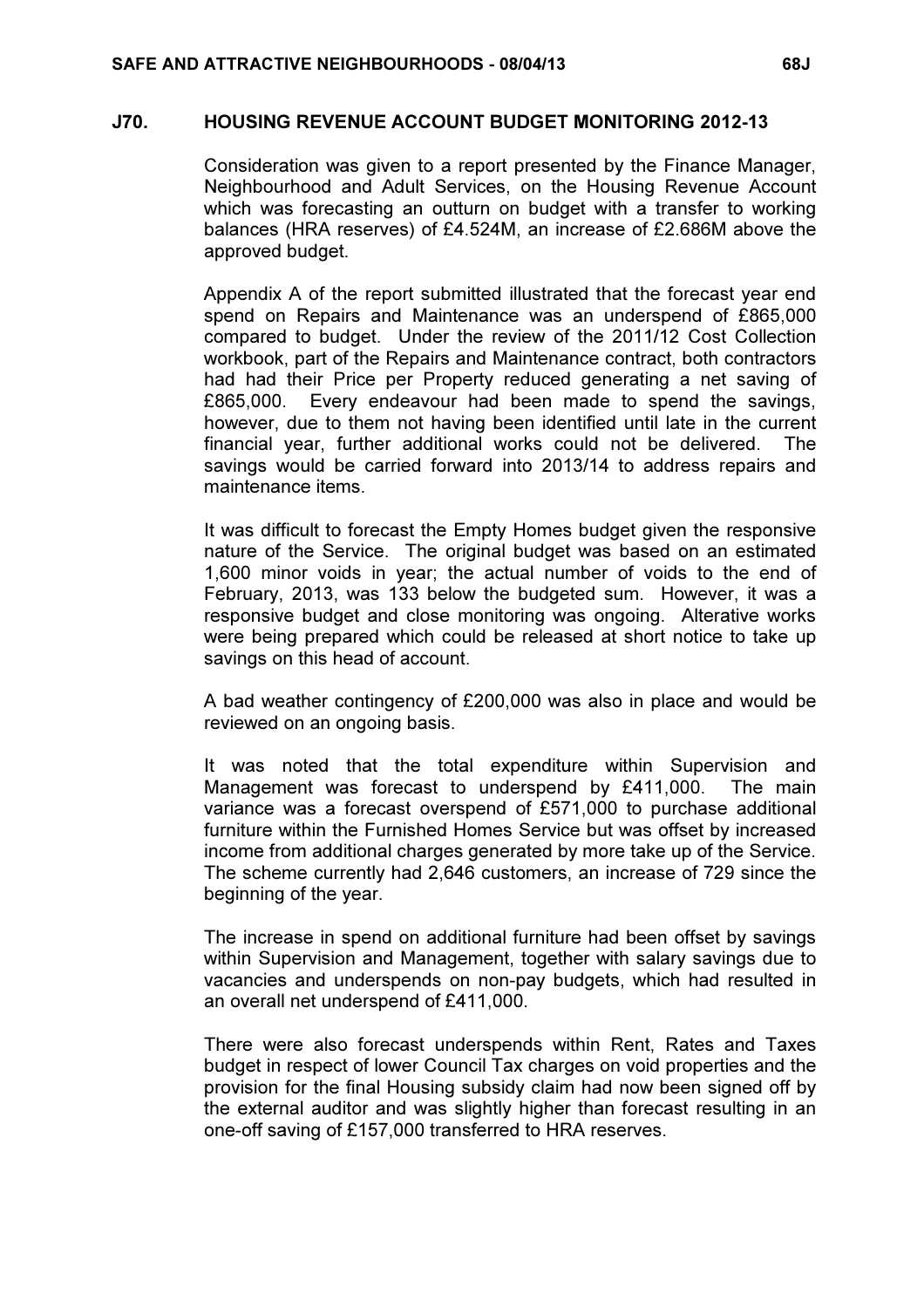### J70. HOUSING REVENUE ACCOUNT BUDGET MONITORING 2012-13

 Consideration was given to a report presented by the Finance Manager, Neighbourhood and Adult Services, on the Housing Revenue Account which was forecasting an outturn on budget with a transfer to working balances (HRA reserves) of £4.524M, an increase of £2.686M above the approved budget.

Appendix A of the report submitted illustrated that the forecast year end spend on Repairs and Maintenance was an underspend of £865,000 compared to budget. Under the review of the 2011/12 Cost Collection workbook, part of the Repairs and Maintenance contract, both contractors had had their Price per Property reduced generating a net saving of £865,000. Every endeavour had been made to spend the savings, however, due to them not having been identified until late in the current financial year, further additional works could not be delivered. The savings would be carried forward into 2013/14 to address repairs and maintenance items.

It was difficult to forecast the Empty Homes budget given the responsive nature of the Service. The original budget was based on an estimated 1,600 minor voids in year; the actual number of voids to the end of February, 2013, was 133 below the budgeted sum. However, it was a responsive budget and close monitoring was ongoing. Alterative works were being prepared which could be released at short notice to take up savings on this head of account.

A bad weather contingency of £200,000 was also in place and would be reviewed on an ongoing basis.

It was noted that the total expenditure within Supervision and Management was forecast to underspend by £411,000. The main variance was a forecast overspend of £571,000 to purchase additional furniture within the Furnished Homes Service but was offset by increased income from additional charges generated by more take up of the Service. The scheme currently had 2,646 customers, an increase of 729 since the beginning of the year.

The increase in spend on additional furniture had been offset by savings within Supervision and Management, together with salary savings due to vacancies and underspends on non-pay budgets, which had resulted in an overall net underspend of £411,000.

There were also forecast underspends within Rent, Rates and Taxes budget in respect of lower Council Tax charges on void properties and the provision for the final Housing subsidy claim had now been signed off by the external auditor and was slightly higher than forecast resulting in an one-off saving of £157,000 transferred to HRA reserves.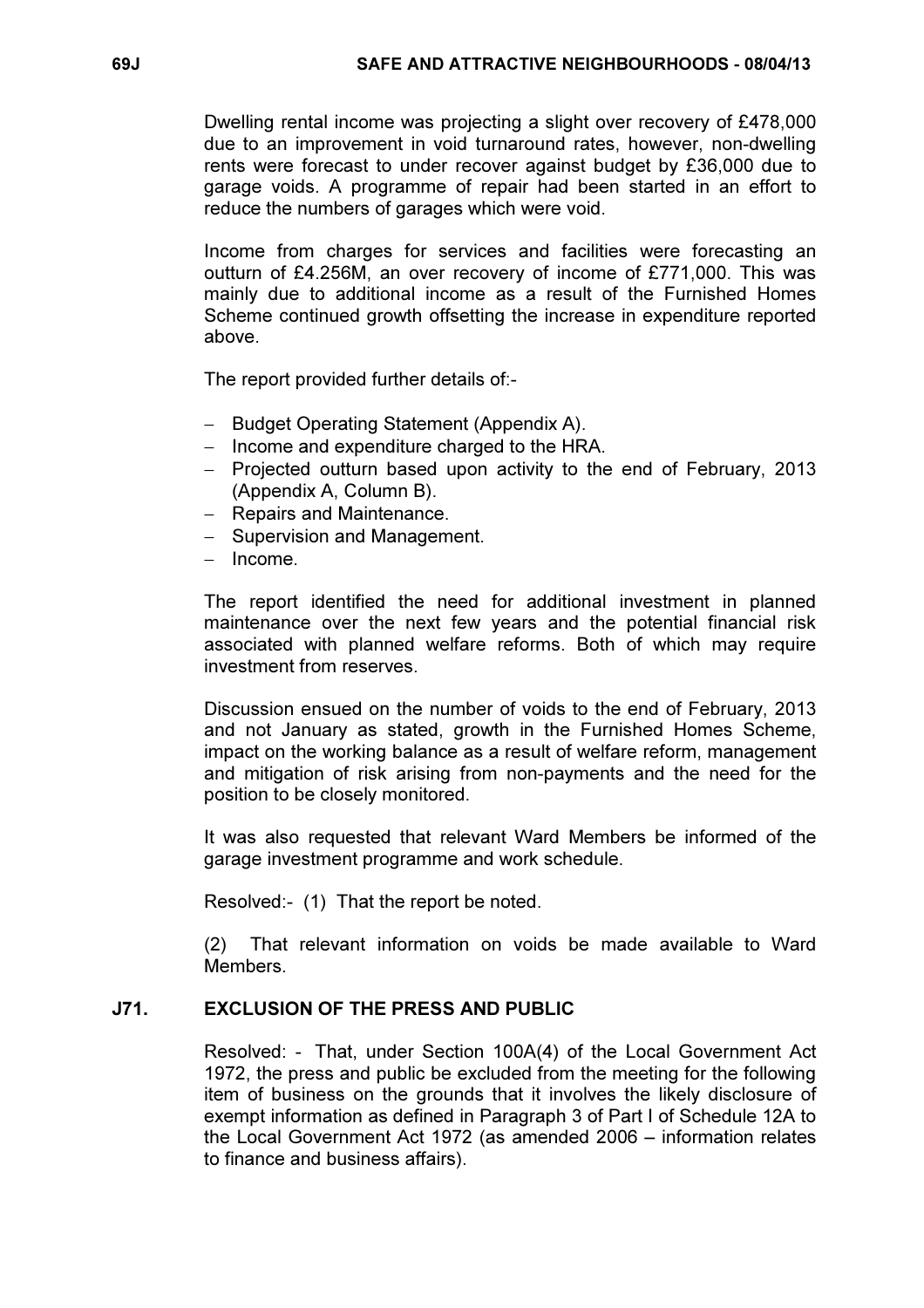Dwelling rental income was projecting a slight over recovery of £478,000 due to an improvement in void turnaround rates, however, non-dwelling rents were forecast to under recover against budget by £36,000 due to garage voids. A programme of repair had been started in an effort to reduce the numbers of garages which were void.

Income from charges for services and facilities were forecasting an outturn of £4.256M, an over recovery of income of £771,000. This was mainly due to additional income as a result of the Furnished Homes Scheme continued growth offsetting the increase in expenditure reported above.

The report provided further details of:-

- − Budget Operating Statement (Appendix A).
- − Income and expenditure charged to the HRA.
- − Projected outturn based upon activity to the end of February, 2013 (Appendix A, Column B).
- − Repairs and Maintenance.
- − Supervision and Management.
- − Income.

The report identified the need for additional investment in planned maintenance over the next few years and the potential financial risk associated with planned welfare reforms. Both of which may require investment from reserves.

Discussion ensued on the number of voids to the end of February, 2013 and not January as stated, growth in the Furnished Homes Scheme, impact on the working balance as a result of welfare reform, management and mitigation of risk arising from non-payments and the need for the position to be closely monitored.

It was also requested that relevant Ward Members be informed of the garage investment programme and work schedule.

Resolved:- (1) That the report be noted.

(2) That relevant information on voids be made available to Ward Members.

# J71. EXCLUSION OF THE PRESS AND PUBLIC

 Resolved: - That, under Section 100A(4) of the Local Government Act 1972, the press and public be excluded from the meeting for the following item of business on the grounds that it involves the likely disclosure of exempt information as defined in Paragraph 3 of Part I of Schedule 12A to the Local Government Act 1972 (as amended 2006 – information relates to finance and business affairs).